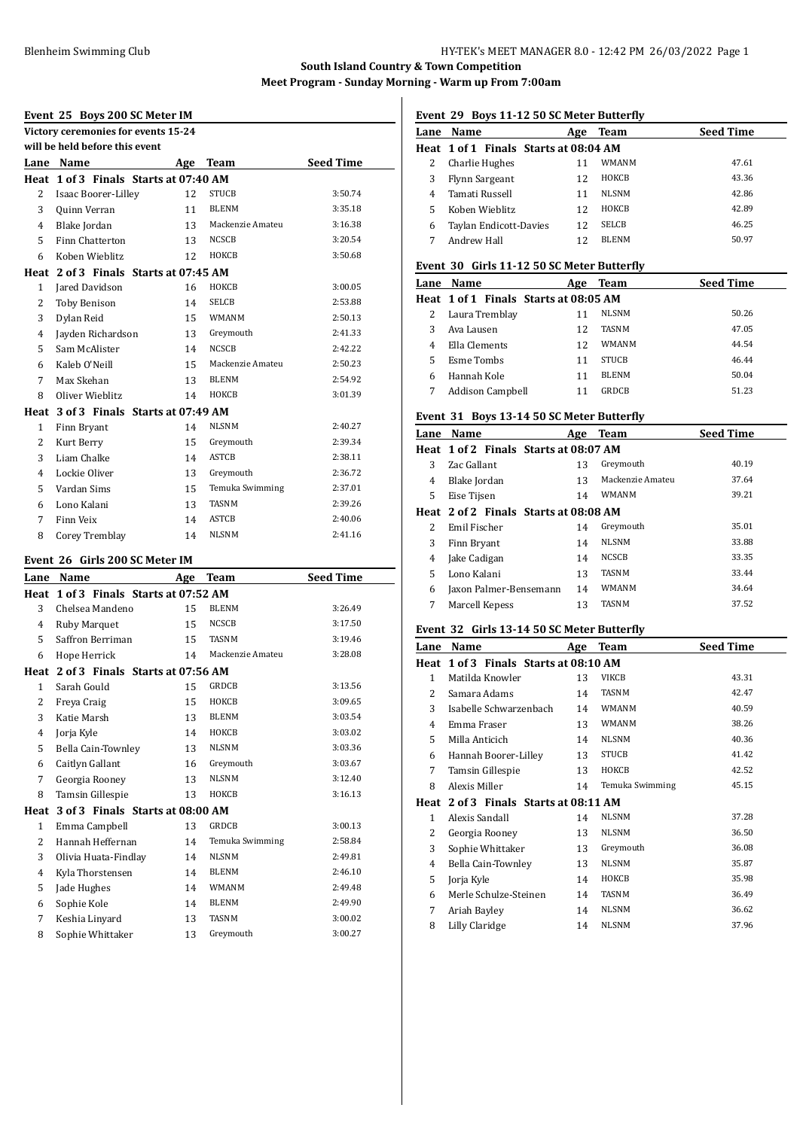# **Event 25 Boys 200 SC Meter IM**

|              | Victory ceremonies for events 15-24   |          |                    |                    |  |  |
|--------------|---------------------------------------|----------|--------------------|--------------------|--|--|
|              | will be held before this event        |          |                    |                    |  |  |
|              | Lane Name                             |          | Age Team           | <b>Seed Time</b>   |  |  |
|              | Heat 1 of 3 Finals Starts at 07:40 AM |          |                    |                    |  |  |
| 2            | Isaac Boorer-Lilley                   | 12       | <b>STUCB</b>       | 3:50.74            |  |  |
| 3            | Quinn Verran                          | 11       | <b>BLENM</b>       | 3:35.18            |  |  |
| 4            | Blake Jordan                          | 13       | Mackenzie Amateu   | 3:16.38            |  |  |
| 5            | Finn Chatterton                       | 13       | NCSCB              | 3:20.54            |  |  |
| 6            | Koben Wieblitz                        | 12       | HOKCB              | 3:50.68            |  |  |
|              | Heat 2 of 3 Finals Starts at 07:45 AM |          |                    |                    |  |  |
| 1            | Jared Davidson                        | 16       | HOKCB              | 3:00.05            |  |  |
| 2            | <b>Toby Benison</b>                   | 14       | <b>SELCB</b>       | 2:53.88            |  |  |
| 3            | Dylan Reid                            | 15       | <b>WMANM</b>       | 2:50.13            |  |  |
| 4            | Jayden Richardson                     | 13       | Greymouth          | 2:41.33            |  |  |
| 5            | Sam McAlister                         | 14       | <b>NCSCB</b>       | 2:42.22            |  |  |
| 6            | Kaleb O'Neill                         | 15       | Mackenzie Amateu   | 2:50.23            |  |  |
| 7            | Max Skehan                            | 13       | <b>BLENM</b>       | 2:54.92            |  |  |
| 8            | Oliver Wieblitz                       | 14       | HOKCB              | 3:01.39            |  |  |
|              | Heat 3 of 3 Finals Starts at 07:49 AM |          |                    |                    |  |  |
| 1            | Finn Bryant                           | 14       | <b>NLSNM</b>       | 2:40.27            |  |  |
| 2            | Kurt Berry                            | 15       | Greymouth          | 2:39.34            |  |  |
| 3            | Liam Chalke                           | 14       | <b>ASTCB</b>       | 2:38.11            |  |  |
| 4            | Lockie Oliver                         | 13       | Greymouth          | 2:36.72            |  |  |
| 5            | Vardan Sims                           | 15       | Temuka Swimming    | 2:37.01            |  |  |
| 6            | Lono Kalani                           | 13       | <b>TASNM</b>       | 2:39.26            |  |  |
| 7            | Finn Veix                             | 14       | <b>ASTCB</b>       | 2:40.06            |  |  |
| 8            | Corey Tremblay                        | 14       | <b>NLSNM</b>       | 2:41.16            |  |  |
|              |                                       |          |                    |                    |  |  |
|              |                                       |          |                    |                    |  |  |
|              | Event 26 Girls 200 SC Meter IM        |          |                    |                    |  |  |
|              | Lane Name                             | Age      | Team               | <b>Seed Time</b>   |  |  |
|              | Heat 1 of 3 Finals Starts at 07:52 AM |          |                    |                    |  |  |
| 3            | Chelsea Mandeno                       | 15       | <b>BLENM</b>       | 3:26.49            |  |  |
| 4            | <b>Ruby Marquet</b>                   | 15       | NCSCB              | 3:17.50            |  |  |
| 5            | Saffron Berriman                      | 15       | <b>TASNM</b>       | 3:19.46            |  |  |
| 6            | Hope Herrick                          | 14       | Mackenzie Amateu   | 3:28.08            |  |  |
|              | Heat 2 of 3 Finals Starts at 07:56 AM |          |                    |                    |  |  |
| 1            | Sarah Gould                           | 15       | GRDCB              | 3:13.56            |  |  |
| 2            | Freya Craig                           | 15       | HOKCB              | 3:09.65            |  |  |
| 3            | Katie Marsh                           | 13       | <b>BLENM</b>       | 3:03.54            |  |  |
| 4            | Jorja Kyle                            | 14       | ноксв              | 3:03.02            |  |  |
| 5            | Bella Cain-Townley                    | 13       | <b>NLSNM</b>       | 3:03.36            |  |  |
| 6            | Caitlyn Gallant                       | 16       | Greymouth          | 3:03.67            |  |  |
| 7            | Georgia Rooney                        | 13       | NLSNM              | 3:12.40            |  |  |
| 8            | Tamsin Gillespie                      | 13       | НОКСВ              | 3:16.13            |  |  |
| Heat         | 3 of 3 Finals Starts at 08:00 AM      |          |                    |                    |  |  |
| $\mathbf{1}$ | Emma Campbell                         | 13       | GRDCB              | 3:00.13            |  |  |
| 2            | Hannah Heffernan                      | 14       | Temuka Swimming    | 2:58.84            |  |  |
| 3            | Olivia Huata-Findlay                  | 14       | NLSNM              | 2:49.81            |  |  |
| 4            | Kyla Thorstensen                      | 14       | BLENM              | 2:46.10            |  |  |
| 5            | Jade Hughes                           | 14       | WMANM              | 2:49.48            |  |  |
| 6            | Sophie Kole                           | 14       | BLENM              | 2:49.90            |  |  |
| 7<br>8       | Keshia Linyard<br>Sophie Whittaker    | 13<br>13 | TASNM<br>Greymouth | 3:00.02<br>3:00.27 |  |  |

# **Event 29 Boys 11-12 50 SC Meter Butterfly**

| Lane | Name                                  | Age | Team         | <b>Seed Time</b> |
|------|---------------------------------------|-----|--------------|------------------|
|      | Heat 1 of 1 Finals Starts at 08:04 AM |     |              |                  |
|      | Charlie Hughes                        | 11  | WMANM        | 47.61            |
| 3    | Flynn Sargeant                        | 12  | HOKCB        | 43.36            |
| 4    | Tamati Russell                        | 11  | <b>NLSNM</b> | 42.86            |
|      | Koben Wieblitz                        | 12  | HOKCB        | 42.89            |
| 6    | Taylan Endicott-Davies                | 12  | <b>SELCB</b> | 46.25            |
|      | Andrew Hall                           | 12  | <b>BLENM</b> | 50.97            |
|      |                                       |     |              |                  |

#### **Event 30 Girls 11-12 50 SC Meter Butterfly**

| Lane | Name                                  | Age | Team         | <b>Seed Time</b> |
|------|---------------------------------------|-----|--------------|------------------|
|      | Heat 1 of 1 Finals Starts at 08:05 AM |     |              |                  |
| 2    | Laura Tremblay                        | 11  | <b>NLSNM</b> | 50.26            |
| 3    | Ava Lausen                            | 12  | <b>TASNM</b> | 47.05            |
| 4    | Ella Clements                         | 12  | WMANM        | 44.54            |
| 5    | Esme Tombs                            | 11  | <b>STUCB</b> | 46.44            |
| 6    | Hannah Kole                           | 11  | <b>BLENM</b> | 50.04            |
|      | <b>Addison Campbell</b>               |     | <b>GRDCB</b> | 51.23            |

#### **Event 31 Boys 13-14 50 SC Meter Butterfly**

| Name           | Age | Team                   | <b>Seed Time</b>                                                               |
|----------------|-----|------------------------|--------------------------------------------------------------------------------|
|                |     |                        |                                                                                |
| Zac Gallant    | 13  | Greymouth              | 40.19                                                                          |
| Blake Jordan   | 13  | Mackenzie Amateu       | 37.64                                                                          |
| Eise Tijsen    | 14  | WMANM                  | 39.21                                                                          |
|                |     |                        |                                                                                |
| Emil Fischer   | 14  | Greymouth              | 35.01                                                                          |
| Finn Bryant    | 14  | <b>NLSNM</b>           | 33.88                                                                          |
| Jake Cadigan   | 14  | <b>NCSCB</b>           | 33.35                                                                          |
| Lono Kalani    | 13  | <b>TASNM</b>           | 33.44                                                                          |
|                | 14  | <b>WMANM</b>           | 34.64                                                                          |
| Marcell Kepess | 13  | <b>TASNM</b>           | 37.52                                                                          |
|                |     | Jaxon Palmer-Bensemann | Heat 1 of 2 Finals Starts at 08:07 AM<br>Heat 2 of 2 Finals Starts at 08:08 AM |

# **Event 32 Girls 13-14 50 SC Meter Butterfly**

| Lane           | Name                                  | Age | <b>Team</b>     | <b>Seed Time</b> |
|----------------|---------------------------------------|-----|-----------------|------------------|
| Heat           | 1 of 3 Finals Starts at 08:10 AM      |     |                 |                  |
| 1              | Matilda Knowler                       | 13  | VIKCB           | 43.31            |
| $\overline{2}$ | Samara Adams                          | 14  | <b>TASNM</b>    | 42.47            |
| 3              | Isabelle Schwarzenbach                | 14  | <b>WMANM</b>    | 40.59            |
| 4              | Emma Fraser                           | 13  | <b>WMANM</b>    | 38.26            |
| 5              | Milla Anticich                        | 14  | <b>NLSNM</b>    | 40.36            |
| 6              | Hannah Boorer-Lilley                  | 13  | <b>STUCB</b>    | 41.42            |
| 7              | Tamsin Gillespie                      | 13  | ноксв           | 42.52            |
| 8              | Alexis Miller                         | 14  | Temuka Swimming | 45.15            |
|                | Heat 2 of 3 Finals Starts at 08:11 AM |     |                 |                  |
| 1              | Alexis Sandall                        | 14  | <b>NLSNM</b>    | 37.28            |
| 2              | Georgia Rooney                        | 13  | <b>NLSNM</b>    | 36.50            |
| 3              | Sophie Whittaker                      | 13  | Greymouth       | 36.08            |
| 4              | Bella Cain-Townley                    | 13  | <b>NLSNM</b>    | 35.87            |
| 5              | Jorja Kyle                            | 14  | HOKCB           | 35.98            |
| 6              | Merle Schulze-Steinen                 | 14  | <b>TASNM</b>    | 36.49            |
| 7              | Ariah Bayley                          | 14  | <b>NLSNM</b>    | 36.62            |
| 8              | Lilly Claridge                        | 14  | <b>NLSNM</b>    | 37.96            |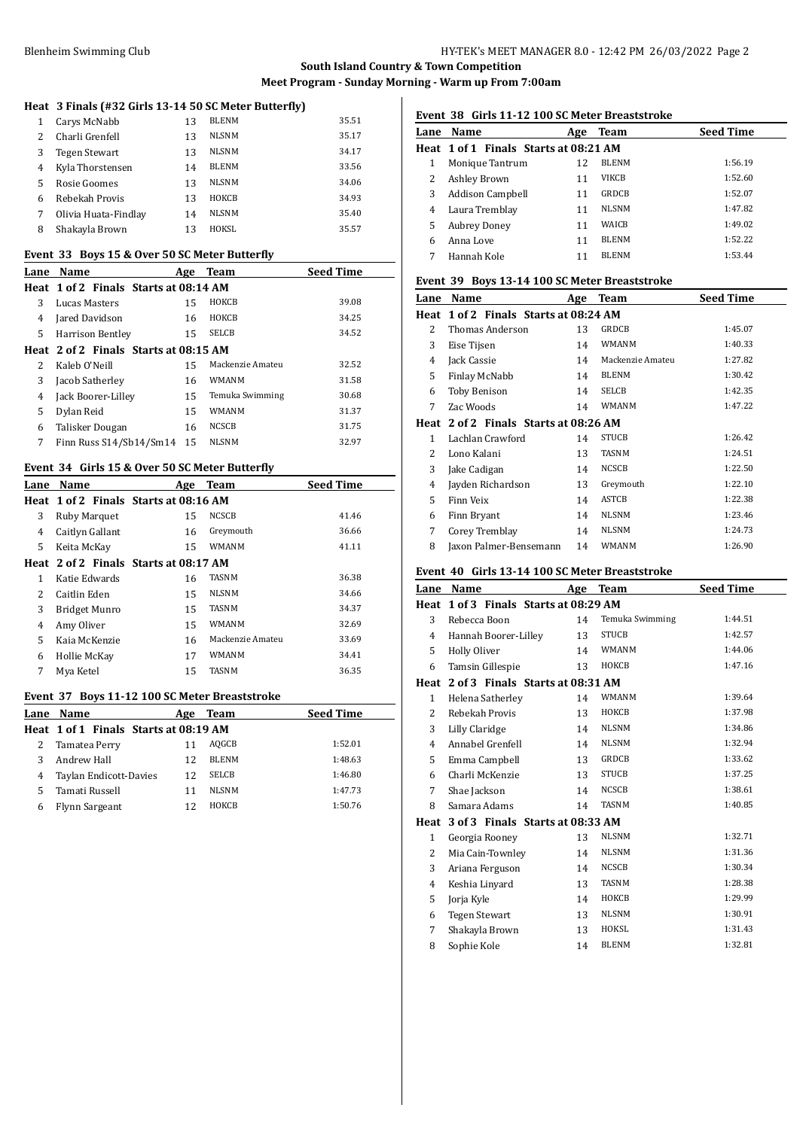### **Heat 3 Finals (#32 Girls 13-14 50 SC Meter Butterfly)**

| 1           | Carys McNabb         | 13 | <b>BLENM</b> | 35.51 |
|-------------|----------------------|----|--------------|-------|
| $2^{\circ}$ | Charli Grenfell      | 13 | <b>NLSNM</b> | 35.17 |
| 3           | <b>Tegen Stewart</b> | 13 | <b>NLSNM</b> | 34.17 |
| 4           | Kyla Thorstensen     | 14 | <b>BLENM</b> | 33.56 |
| 5.          | Rosie Goomes         | 13 | <b>NLSNM</b> | 34.06 |
| 6           | Rebekah Provis       | 13 | HOKCB        | 34.93 |
| 7           | Olivia Huata-Findlav | 14 | <b>NLSNM</b> | 35.40 |
| 8           | Shakayla Brown       | 13 | HOKSL        | 35.57 |

#### **Event 33 Boys 15 & Over 50 SC Meter Butterfly**

| Lane | Name                                  | Age | <b>Team</b>      | <b>Seed Time</b> |
|------|---------------------------------------|-----|------------------|------------------|
|      | Heat 1 of 2 Finals Starts at 08:14 AM |     |                  |                  |
| 3    | Lucas Masters                         | 15  | HOKCB            | 39.08            |
| 4    | Jared Davidson                        | 16  | HOKCB            | 34.25            |
| 5    | Harrison Bentley                      | 15  | <b>SELCB</b>     | 34.52            |
|      | Heat 2 of 2 Finals Starts at 08:15 AM |     |                  |                  |
| 2    | Kaleb O'Neill                         | 15  | Mackenzie Amateu | 32.52            |
| 3    | Jacob Satherley                       | 16  | WMANM            | 31.58            |
| 4    | Jack Boorer-Lilley                    | 15  | Temuka Swimming  | 30.68            |
| 5    | Dylan Reid                            | 15  | WMANM            | 31.37            |
| 6    | Talisker Dougan                       | 16  | <b>NCSCB</b>     | 31.75            |
| 7    | Finn Russ S14/Sb14/Sm14               | 15  | NLSNM            | 32.97            |

### **Event 34 Girls 15 & Over 50 SC Meter Butterfly**

| Lane | Name                | Age                                   | <b>Team</b>      | <b>Seed Time</b> |
|------|---------------------|---------------------------------------|------------------|------------------|
|      |                     | Heat 1 of 2 Finals Starts at 08:16 AM |                  |                  |
| 3    | <b>Ruby Marquet</b> | 15                                    | <b>NCSCB</b>     | 41.46            |
| 4    | Caitlyn Gallant     | 16                                    | Greymouth        | 36.66            |
| 5.   | Keita McKay         | 15                                    | WMANM            | 41.11            |
|      |                     | Heat 2 of 2 Finals Starts at 08:17 AM |                  |                  |
| 1    | Katie Edwards       | 16                                    | TASNM            | 36.38            |
| 2    | Caitlin Eden        | 15                                    | <b>NLSNM</b>     | 34.66            |
| 3    | Bridget Munro       | 15                                    | TASNM            | 34.37            |
| 4    | Amy Oliver          | 15                                    | WMANM            | 32.69            |
| 5.   | Kaja McKenzie       | 16                                    | Mackenzie Amateu | 33.69            |
| 6    | Hollie McKay        | 17                                    | WMANM            | 34.41            |
| 7    | Mya Ketel           | 15                                    | TASNM            | 36.35            |

#### **Event 37 Boys 11-12 100 SC Meter Breaststroke**

|   | Lane Name                             | Age | Team         | <b>Seed Time</b> |
|---|---------------------------------------|-----|--------------|------------------|
|   | Heat 1 of 1 Finals Starts at 08:19 AM |     |              |                  |
|   | Tamatea Perry                         |     | AQGCB        | 1:52.01          |
|   | Andrew Hall                           | 12  | <b>BLENM</b> | 1:48.63          |
| 4 | Taylan Endicott-Davies                | 12  | <b>SELCB</b> | 1:46.80          |
| 5 | Tamati Russell                        | 11  | <b>NLSNM</b> | 1:47.73          |
| 6 | Flynn Sargeant                        | 12  | <b>HOKCB</b> | 1:50.76          |

# **Event 38 Girls 11-12 100 SC Meter Breaststroke**

| Lane | Name                                  | Age | Team         | <b>Seed Time</b> |
|------|---------------------------------------|-----|--------------|------------------|
|      | Heat 1 of 1 Finals Starts at 08:21 AM |     |              |                  |
| 1    | Monique Tantrum                       | 12  | <b>BLENM</b> | 1:56.19          |
| 2    | <b>Ashley Brown</b>                   | 11  | VIKCB        | 1:52.60          |
| 3    | Addison Campbell                      | 11  | GRDCB        | 1:52.07          |
| 4    | Laura Tremblay                        | 11  | <b>NLSNM</b> | 1:47.82          |
| 5    | <b>Aubrey Doney</b>                   | 11  | <b>WAICB</b> | 1:49.02          |
| 6    | Anna Love                             | 11  | <b>BLENM</b> | 1:52.22          |
|      | Hannah Kole                           | 11  | <b>BLENM</b> | 1:53.44          |

### **Event 39 Boys 13-14 100 SC Meter Breaststroke**

| Lane          | Name                                  | Age | <b>Team</b>      | <b>Seed Time</b> |
|---------------|---------------------------------------|-----|------------------|------------------|
|               | Heat 1 of 2 Finals Starts at 08:24 AM |     |                  |                  |
| 2             | Thomas Anderson                       | 13  | <b>GRDCB</b>     | 1:45.07          |
| 3             | Eise Tijsen                           | 14  | <b>WMANM</b>     | 1:40.33          |
| 4             | Jack Cassie                           | 14  | Mackenzie Amateu | 1:27.82          |
| 5             | Finlay McNabb                         | 14  | <b>BLENM</b>     | 1:30.42          |
| 6             | <b>Toby Benison</b>                   | 14  | SELCB            | 1:42.35          |
| 7             | Zac Woods                             | 14  | <b>WMANM</b>     | 1:47.22          |
|               | Heat 2 of 2 Finals Starts at 08:26 AM |     |                  |                  |
| 1             | Lachlan Crawford                      | 14  | <b>STUCB</b>     | 1:26.42          |
| $\mathcal{L}$ | Lono Kalani                           | 13  | <b>TASNM</b>     | 1:24.51          |
| 3             | Jake Cadigan                          | 14  | NCSCB            | 1:22.50          |
| 4             | Jayden Richardson                     | 13  | Greymouth        | 1:22.10          |
| 5             | Finn Veix                             | 14  | <b>ASTCB</b>     | 1:22.38          |
| 6             | Finn Bryant                           | 14  | <b>NLSNM</b>     | 1:23.46          |
| 7             | Corey Tremblay                        | 14  | <b>NLSNM</b>     | 1:24.73          |
| 8             | Jaxon Palmer-Bensemann                | 14  | <b>WMANM</b>     | 1:26.90          |

### **Event 40 Girls 13-14 100 SC Meter Breaststroke**

| Lane           | Name                                  | Age | Team            | <b>Seed Time</b> |
|----------------|---------------------------------------|-----|-----------------|------------------|
| Heat           | 1 of 3 Finals Starts at 08:29 AM      |     |                 |                  |
| 3              | Rebecca Boon                          | 14  | Temuka Swimming | 1:44.51          |
| 4              | Hannah Boorer-Lilley                  | 13  | <b>STUCB</b>    | 1:42.57          |
| 5.             | <b>Holly Oliver</b>                   | 14  | <b>WMANM</b>    | 1:44.06          |
| 6              | Tamsin Gillespie                      | 13  | НОКСВ           | 1:47.16          |
|                | Heat 2 of 3 Finals Starts at 08:31 AM |     |                 |                  |
| $\mathbf{1}$   | Helena Satherley                      | 14  | <b>WMANM</b>    | 1:39.64          |
| $\overline{c}$ | Rebekah Provis                        | 13  | НОКСВ           | 1:37.98          |
| 3              | Lilly Claridge                        | 14  | <b>NLSNM</b>    | 1:34.86          |
| 4              | Annabel Grenfell                      | 14  | <b>NLSNM</b>    | 1:32.94          |
| 5              | Emma Campbell                         | 13  | <b>GRDCB</b>    | 1:33.62          |
| 6              | Charli McKenzie                       | 13  | <b>STUCB</b>    | 1:37.25          |
| 7              | Shae Jackson                          | 14  | <b>NCSCB</b>    | 1:38.61          |
| 8              | Samara Adams                          | 14  | <b>TASNM</b>    | 1:40.85          |
| Heat           | 3 of 3 Finals Starts at 08:33 AM      |     |                 |                  |
| $\mathbf{1}$   | Georgia Rooney                        | 13  | <b>NLSNM</b>    | 1:32.71          |
| 2              | Mia Cain-Townley                      | 14  | <b>NLSNM</b>    | 1:31.36          |
| 3              | Ariana Ferguson                       | 14  | <b>NCSCB</b>    | 1:30.34          |
| 4              | Keshia Linyard                        | 13  | <b>TASNM</b>    | 1:28.38          |
| 5              | Jorja Kyle                            | 14  | HOKCB           | 1:29.99          |
| 6              | <b>Tegen Stewart</b>                  | 13  | <b>NLSNM</b>    | 1:30.91          |
| 7              | Shakayla Brown                        | 13  | HOKSL           | 1:31.43          |
| 8              | Sophie Kole                           | 14  | <b>BLENM</b>    | 1:32.81          |
|                |                                       |     |                 |                  |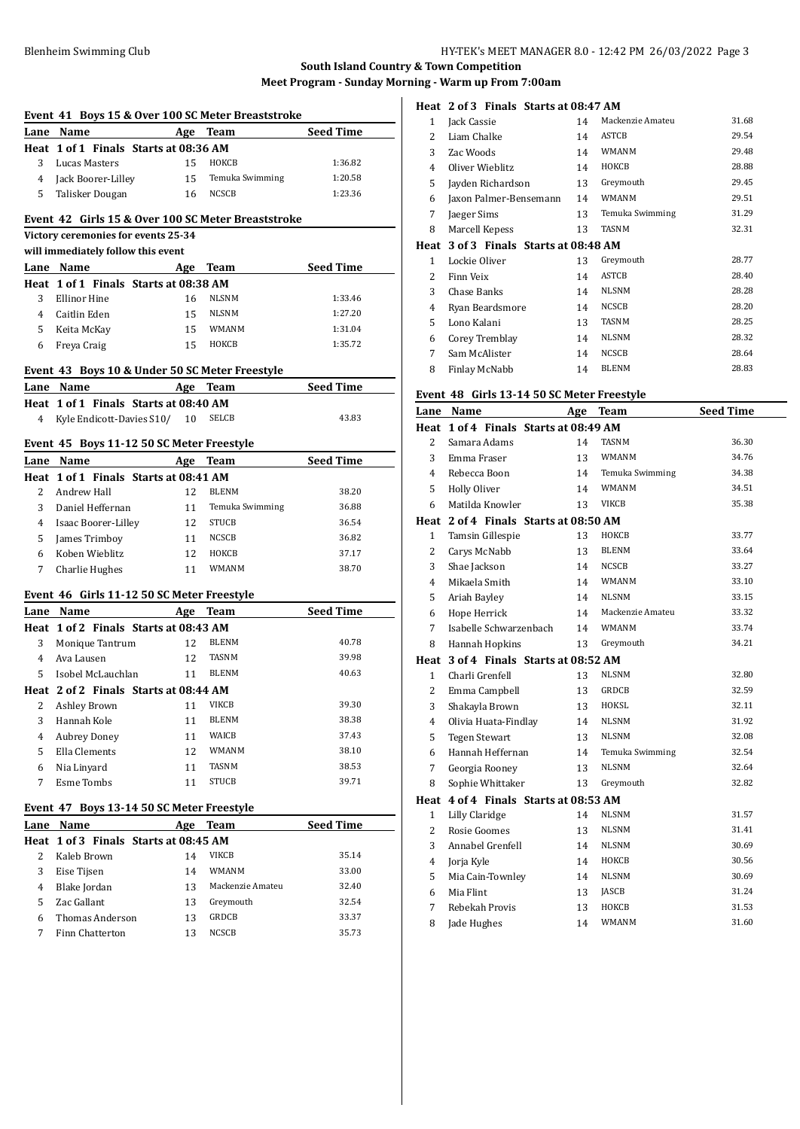| Event 41 Boys 15 & Over 100 SC Meter Breaststroke |                                                                           |            |                  |                  |  |
|---------------------------------------------------|---------------------------------------------------------------------------|------------|------------------|------------------|--|
|                                                   | Lane Name                                                                 |            | Age Team         | <b>Seed Time</b> |  |
|                                                   | Heat 1 of 1 Finals Starts at 08:36 AM                                     |            |                  |                  |  |
| 3                                                 | Lucas Masters                                                             | 15         | HOKCB            | 1:36.82          |  |
| 4                                                 | Jack Boorer-Lilley                                                        | 15         | Temuka Swimming  | 1:20.58          |  |
| 5                                                 | Talisker Dougan                                                           | 16         | <b>NCSCB</b>     | 1:23.36          |  |
|                                                   |                                                                           |            |                  |                  |  |
|                                                   | Event 42 Girls 15 & Over 100 SC Meter Breaststroke                        |            |                  |                  |  |
|                                                   | Victory ceremonies for events 25-34<br>will immediately follow this event |            |                  |                  |  |
|                                                   | Lane Name                                                                 | Age        | <b>Team</b>      | <b>Seed Time</b> |  |
|                                                   | Heat 1 of 1 Finals Starts at 08:38 AM                                     |            |                  |                  |  |
| 3                                                 | <b>Ellinor Hine</b>                                                       | 16         | <b>NLSNM</b>     | 1:33.46          |  |
| 4                                                 | Caitlin Eden                                                              | 15         | <b>NLSNM</b>     | 1:27.20          |  |
| 5                                                 | Keita McKay                                                               | 15         | WMANM            | 1:31.04          |  |
| 6                                                 | Freya Craig                                                               | 15         | HOKCB            | 1:35.72          |  |
|                                                   |                                                                           |            |                  |                  |  |
|                                                   | Event 43 Boys 10 & Under 50 SC Meter Freestyle                            |            |                  |                  |  |
| Lane                                              | Name                                                                      |            | Age Team         | <b>Seed Time</b> |  |
|                                                   | Heat 1 of 1 Finals Starts at 08:40 AM                                     |            |                  |                  |  |
| 4                                                 | Kyle Endicott-Davies S10/                                                 | 10         | <b>SELCB</b>     | 43.83            |  |
|                                                   | Event 45 Boys 11-12 50 SC Meter Freestyle                                 |            |                  |                  |  |
| Lane                                              | Name                                                                      | Age        | Team             | <b>Seed Time</b> |  |
|                                                   | Heat 1 of 1 Finals Starts at 08:41 AM                                     |            |                  |                  |  |
| 2                                                 | Andrew Hall                                                               | 12         | <b>BLENM</b>     | 38.20            |  |
| 3                                                 | Daniel Heffernan                                                          | 11         | Temuka Swimming  | 36.88            |  |
| 4                                                 | Isaac Boorer-Lilley                                                       | 12         | <b>STUCB</b>     | 36.54            |  |
| 5                                                 | James Trimboy                                                             | 11         | NCSCB            | 36.82            |  |
| 6                                                 | Koben Wieblitz                                                            | 12         | HOKCB            | 37.17            |  |
| 7                                                 | Charlie Hughes                                                            | 11         | <b>WMANM</b>     | 38.70            |  |
|                                                   |                                                                           |            |                  |                  |  |
|                                                   | Event 46 Girls 11-12 50 SC Meter Freestyle                                |            |                  |                  |  |
|                                                   | Lane Name<br>Heat 1 of 2 Finals Starts at 08:43 AM                        |            | Age Team         | Seed Time        |  |
| 3                                                 | Monique Tantrum                                                           | 12         | <b>BLENM</b>     | 40.78            |  |
| 4                                                 | Ava Lausen                                                                | 12         | TASNM            | 39.98            |  |
| 5.                                                | Isobel McLauchlan                                                         | 11         | <b>BLENM</b>     | 40.63            |  |
|                                                   | Heat 2 of 2 Finals Starts at 08:44 AM                                     |            |                  |                  |  |
|                                                   | 2 Ashley Brown                                                            |            | 11 VIKCB         | 39.30            |  |
| 3                                                 | Hannah Kole                                                               | 11         | BLENM            | 38.38            |  |
| 4                                                 | <b>Aubrey Doney</b>                                                       | 11         | WAICB            | 37.43            |  |
| 5                                                 | Ella Clements                                                             | 12         | WMANM            | 38.10            |  |
| 6                                                 | Nia Linyard                                                               | 11         | TASNM            | 38.53            |  |
| 7                                                 | Esme Tombs                                                                | 11         | STUCB            | 39.71            |  |
|                                                   |                                                                           |            |                  |                  |  |
|                                                   | Event 47 Boys 13-14 50 SC Meter Freestyle                                 |            |                  |                  |  |
|                                                   | Lane Name                                                                 | <b>Age</b> | <b>Team</b>      | <b>Seed Time</b> |  |
|                                                   | Heat 1 of 3 Finals Starts at 08:45 AM                                     |            |                  |                  |  |
| 2                                                 | Kaleb Brown                                                               | 14         | VIKCB            | 35.14            |  |
| 3                                                 | Eise Tijsen                                                               | 14         | WMANM            | 33.00            |  |
| 4                                                 | Blake Jordan                                                              | 13         | Mackenzie Amateu | 32.40            |  |
| 5                                                 | Zac Gallant                                                               | 13         | Greymouth        | 32.54            |  |
| 6                                                 | Thomas Anderson                                                           | 13         | GRDCB            | 33.37            |  |
| 7                                                 | Finn Chatterton                                                           | 13         | NCSCB            | 35.73            |  |
|                                                   |                                                                           |            |                  |                  |  |

# **Heat 2 of 3 Finals Starts at 08:47 AM**

| 1 | Jack Cassie                                 | 14 | Mackenzie Amateu | 31.68 |
|---|---------------------------------------------|----|------------------|-------|
| 2 | Liam Chalke                                 | 14 | ASTCB            | 29.54 |
| 3 | Zac Woods                                   | 14 | <b>WMANM</b>     | 29.48 |
| 4 | Oliver Wieblitz                             | 14 | ноксв            | 28.88 |
| 5 | Jayden Richardson                           | 13 | Greymouth        | 29.45 |
| 6 | Jaxon Palmer-Bensemann                      | 14 | <b>WMANM</b>     | 29.51 |
| 7 | Jaeger Sims                                 | 13 | Temuka Swimming  | 31.29 |
| 8 | Marcell Kepess                              | 13 | <b>TASNM</b>     | 32.31 |
|   | Heat   3 of 3   Finals   Starts at 08:48 AM |    |                  |       |
| 1 | Lockie Oliver                               | 13 | Greymouth        | 28.77 |
| 2 | Finn Veix                                   | 14 | ASTCB            | 28.40 |
| 3 | Chase Banks                                 | 14 | <b>NLSNM</b>     | 28.28 |
| 4 | Ryan Beardsmore                             | 14 | <b>NCSCB</b>     | 28.20 |
| 5 | Lono Kalani                                 | 13 | <b>TASNM</b>     | 28.25 |
| 6 | Corey Tremblay                              | 14 | <b>NLSNM</b>     | 28.32 |
| 7 |                                             |    |                  |       |
|   | Sam McAlister                               | 14 | <b>NCSCB</b>     | 28.64 |
| 8 | Finlay McNabb                               | 14 | <b>BLENM</b>     | 28.83 |

#### **Event 48 Girls 13-14 50 SC Meter Freestyle**

| Lane           | Name                                  | Age | <b>Team</b>      | <b>Seed Time</b> |  |  |
|----------------|---------------------------------------|-----|------------------|------------------|--|--|
|                | Heat 1 of 4 Finals Starts at 08:49 AM |     |                  |                  |  |  |
| 2              | Samara Adams                          | 14  | TASNM            | 36.30            |  |  |
| 3              | Emma Fraser                           | 13  | <b>WMANM</b>     | 34.76            |  |  |
| 4              | Rebecca Boon                          | 14  | Temuka Swimming  | 34.38            |  |  |
| 5              | Holly Oliver                          | 14  | <b>WMANM</b>     | 34.51            |  |  |
| 6              | Matilda Knowler                       | 13  | <b>VIKCB</b>     | 35.38            |  |  |
|                | Heat 2 of 4 Finals Starts at 08:50 AM |     |                  |                  |  |  |
| $\mathbf{1}$   | Tamsin Gillespie                      | 13  | НОКСВ            | 33.77            |  |  |
| $\overline{2}$ | Carys McNabb                          | 13  | <b>BLENM</b>     | 33.64            |  |  |
| 3              | Shae Jackson                          | 14  | <b>NCSCB</b>     | 33.27            |  |  |
| $\overline{4}$ | Mikaela Smith                         | 14  | <b>WMANM</b>     | 33.10            |  |  |
| 5              | Ariah Bayley                          | 14  | <b>NLSNM</b>     | 33.15            |  |  |
| 6              | Hope Herrick                          | 14  | Mackenzie Amateu | 33.32            |  |  |
| 7              | Isabelle Schwarzenbach                | 14  | <b>WMANM</b>     | 33.74            |  |  |
| 8              | Hannah Hopkins                        | 13  | Greymouth        | 34.21            |  |  |
| Heat           | 3 of 4 Finals Starts at 08:52 AM      |     |                  |                  |  |  |
| $\mathbf{1}$   | Charli Grenfell                       | 13  | <b>NLSNM</b>     | 32.80            |  |  |
| $\overline{2}$ | Emma Campbell                         | 13  | <b>GRDCB</b>     | 32.59            |  |  |
| 3              | Shakayla Brown                        | 13  | HOKSL            | 32.11            |  |  |
| 4              | Olivia Huata-Findlay                  | 14  | <b>NLSNM</b>     | 31.92            |  |  |
| 5              | <b>Tegen Stewart</b>                  | 13  | <b>NLSNM</b>     | 32.08            |  |  |
| 6              | Hannah Heffernan                      | 14  | Temuka Swimming  | 32.54            |  |  |
| 7              | Georgia Rooney                        | 13  | <b>NLSNM</b>     | 32.64            |  |  |
| 8              | Sophie Whittaker                      | 13  | Greymouth        | 32.82            |  |  |
|                | Heat 4 of 4 Finals Starts at 08:53 AM |     |                  |                  |  |  |
| $\mathbf{1}$   | Lilly Claridge                        | 14  | <b>NLSNM</b>     | 31.57            |  |  |
| $\overline{2}$ | Rosie Goomes                          | 13  | NLSNM            | 31.41            |  |  |
| 3              | Annabel Grenfell                      | 14  | <b>NLSNM</b>     | 30.69            |  |  |
| 4              | Jorja Kyle                            | 14  | HOKCB            | 30.56            |  |  |
| 5              | Mia Cain-Townley                      | 14  | <b>NLSNM</b>     | 30.69            |  |  |
| 6              | Mia Flint                             | 13  | JASCB            | 31.24            |  |  |
| 7              | Rebekah Provis                        | 13  | ноксв            | 31.53            |  |  |
| 8              | Jade Hughes                           | 14  | WMANM            | 31.60            |  |  |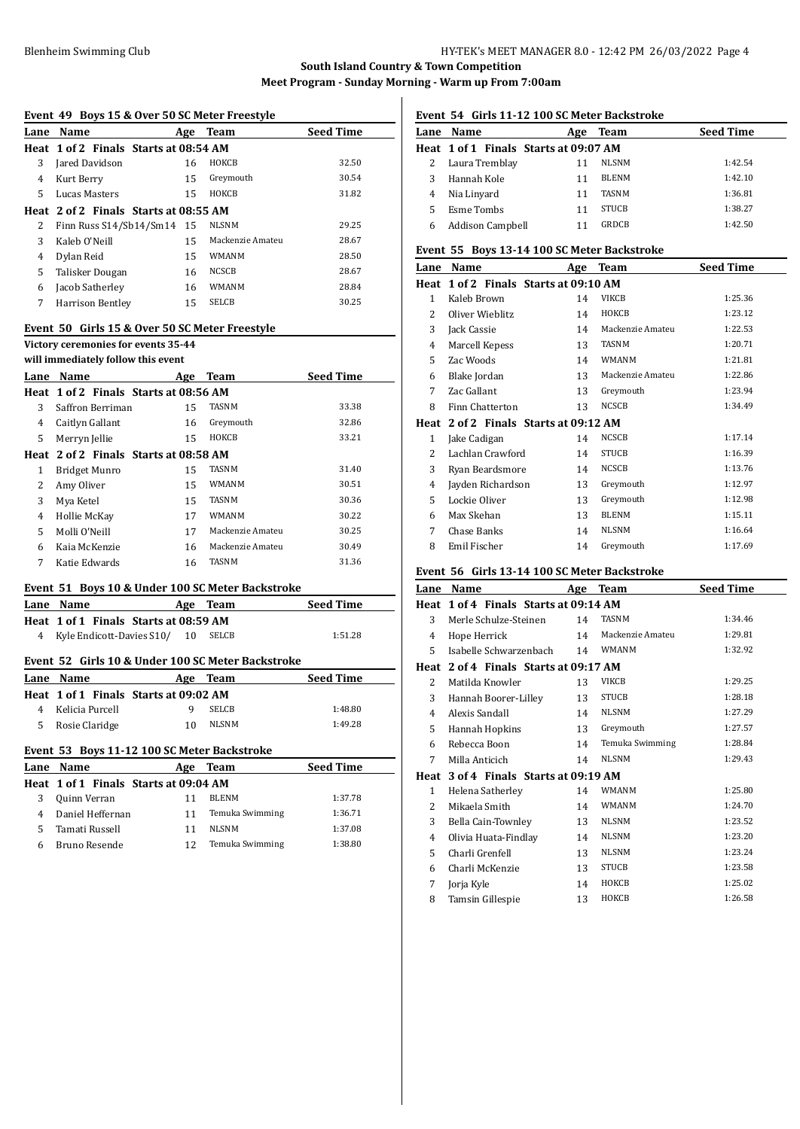|                | Event 49 Boys 15 & Over 50 SC Meter Freestyle     |    |                  |                  |
|----------------|---------------------------------------------------|----|------------------|------------------|
|                | Lane Name                                         |    | Age Team         | <b>Seed Time</b> |
|                | Heat 1 of 2 Finals Starts at 08:54 AM             |    |                  |                  |
| 3              | Jared Davidson                                    | 16 | ноксв            | 32.50            |
| 4              | Kurt Berry                                        | 15 | Greymouth        | 30.54            |
| 5.             | Lucas Masters                                     | 15 | HOKCB            | 31.82            |
|                | Heat 2 of 2 Finals Starts at 08:55 AM             |    |                  |                  |
| 2              | Finn Russ S14/Sb14/Sm14                           | 15 | NLSNM            | 29.25            |
| 3              | Kaleb O'Neill                                     | 15 | Mackenzie Amateu | 28.67            |
| $\overline{4}$ | Dylan Reid                                        | 15 | <b>WMANM</b>     | 28.50            |
| 5              | Talisker Dougan                                   | 16 | <b>NCSCB</b>     | 28.67            |
| 6              | Jacob Satherley                                   | 16 | <b>WMANM</b>     | 28.84            |
| 7              | Harrison Bentley                                  | 15 | SELCB            | 30.25            |
|                | Event 50 Girls 15 & Over 50 SC Meter Freestyle    |    |                  |                  |
|                | Victory ceremonies for events 35-44               |    |                  |                  |
|                | will immediately follow this event                |    |                  |                  |
|                | Lane Name                                         |    | Age Team         | <b>Seed Time</b> |
|                | Heat 1 of 2 Finals Starts at 08:56 AM             |    |                  |                  |
| 3              | Saffron Berriman                                  | 15 | TASNM            | 33.38            |
| $\overline{4}$ | Caitlyn Gallant                                   | 16 | Greymouth        | 32.86            |
| 5              | Merryn Jellie                                     | 15 | НОКСВ            | 33.21            |
|                | Heat 2 of 2 Finals Starts at 08:58 AM             |    |                  |                  |
| $\mathbf{1}$   | <b>Bridget Munro</b>                              | 15 | TASNM            | 31.40            |
| 2              | Amy Oliver                                        | 15 | <b>WMANM</b>     | 30.51            |
| 3              | Mya Ketel                                         | 15 | <b>TASNM</b>     | 30.36            |
| 4              | Hollie McKay                                      | 17 | WMANM            | 30.22            |
| 5              | Molli O'Neill                                     | 17 | Mackenzie Amateu | 30.25            |
| 6              | Kaia McKenzie                                     | 16 | Mackenzie Amateu | 30.49            |
| 7              | Katie Edwards                                     | 16 | TASNM            | 31.36            |
|                |                                                   |    |                  |                  |
|                | Event 51 Boys 10 & Under 100 SC Meter Backstroke  |    |                  |                  |
|                | Lane Name                                         |    | Age Team         | <b>Seed Time</b> |
|                | Heat 1 of 1 Finals Starts at 08:59 AM             |    | SELCB            | 1:51.28          |
| $\overline{4}$ | Kyle Endicott-Davies S10/                         | 10 |                  |                  |
|                | Event 52 Girls 10 & Under 100 SC Meter Backstroke |    |                  |                  |
|                | Lane Name                                         |    | Age Team         | <b>Seed Time</b> |
|                | Heat 1 of 1 Finals Starts at 09:02 AM             |    |                  |                  |
| 4              | Kelicia Purcell                                   | 9  | <b>SELCB</b>     | 1:48.80          |
| 5              | Rosie Claridge                                    | 10 | NLSNM            | 1:49.28          |
|                | Event 53 Boys 11-12 100 SC Meter Backstroke       |    |                  |                  |
|                |                                                   |    |                  |                  |
|                | Lane Name                                         |    | Age Team         | <b>Seed Time</b> |
| Heat           | 1 of 1 Finals Starts at 09:04 AM                  |    |                  |                  |
| 3              | Quinn Verran                                      | 11 | <b>BLENM</b>     | 1:37.78          |
| $\overline{4}$ | Daniel Heffernan                                  | 11 | Temuka Swimming  | 1:36.71          |
| 5              | Tamati Russell                                    | 11 | <b>NLSNM</b>     | 1:37.08          |
| 6              | Bruno Resende                                     | 12 | Temuka Swimming  | 1:38.80          |
|                |                                                   |    |                  |                  |
|                |                                                   |    |                  |                  |

# **Event 54 Girls 11-12 100 SC Meter Backstroke**

|                  | Age                         |              | <b>Seed Time</b>                              |
|------------------|-----------------------------|--------------|-----------------------------------------------|
|                  |                             |              |                                               |
|                  |                             | <b>NLSNM</b> | 1:42.54                                       |
| Hannah Kole      | 11                          | <b>BLENM</b> | 1:42.10                                       |
| Nia Linyard      | 11                          | <b>TASNM</b> | 1:36.81                                       |
| Esme Tombs       | 11                          | <b>STUCB</b> | 1:38.27                                       |
| Addison Campbell |                             | GRDCB        | 1:42.50                                       |
|                  | Lane Name<br>Laura Tremblay |              | Team<br>Heat 1 of 1 Finals Starts at 09:07 AM |

### **Event 55 Boys 13-14 100 SC Meter Backstroke**

| Lane | Name                                  | Age | <b>Team</b>      | <b>Seed Time</b> |
|------|---------------------------------------|-----|------------------|------------------|
|      | Heat 1 of 2 Finals Starts at 09:10 AM |     |                  |                  |
| 1    | Kaleb Brown                           | 14  | <b>VIKCB</b>     | 1:25.36          |
| 2    | Oliver Wieblitz                       | 14  | ноксв            | 1:23.12          |
| 3    | Jack Cassie                           | 14  | Mackenzie Amateu | 1:22.53          |
| 4    | Marcell Kepess                        | 13  | <b>TASNM</b>     | 1:20.71          |
| 5    | Zac Woods                             | 14  | WMANM            | 1:21.81          |
| 6    | Blake Jordan                          | 13  | Mackenzie Amateu | 1:22.86          |
| 7    | Zac Gallant                           | 13  | Greymouth        | 1:23.94          |
| 8    | Finn Chatterton                       | 13  | <b>NCSCB</b>     | 1:34.49          |
|      | Heat 2 of 2 Finals Starts at 09:12 AM |     |                  |                  |
| 1    | Jake Cadigan                          | 14  | <b>NCSCB</b>     | 1:17.14          |
| 2    | Lachlan Crawford                      | 14  | <b>STUCB</b>     | 1:16.39          |
| 3    | Ryan Beardsmore                       | 14  | <b>NCSCB</b>     | 1:13.76          |
| 4    | Jayden Richardson                     | 13  | Greymouth        | 1:12.97          |
| 5    | Lockie Oliver                         | 13  | Greymouth        | 1:12.98          |
| 6    | Max Skehan                            | 13  | <b>BLENM</b>     | 1:15.11          |
| 7    | Chase Banks                           | 14  | <b>NLSNM</b>     | 1:16.64          |
| 8    | Emil Fischer                          | 14  | Greymouth        | 1:17.69          |

### **Event 56 Girls 13-14 100 SC Meter Backstroke**

| Lane           | Name                                  | Age | <b>Team</b>      | <b>Seed Time</b> |
|----------------|---------------------------------------|-----|------------------|------------------|
| Heat           | 1 of 4 Finals Starts at 09:14 AM      |     |                  |                  |
| 3              | Merle Schulze-Steinen                 | 14  | <b>TASNM</b>     | 1:34.46          |
| 4              | Hope Herrick                          | 14  | Mackenzie Amateu | 1:29.81          |
| 5              | Isabelle Schwarzenbach                | 14  | <b>WMANM</b>     | 1:32.92          |
|                | Heat 2 of 4 Finals Starts at 09:17 AM |     |                  |                  |
| 2              | Matilda Knowler                       | 13  | <b>VIKCB</b>     | 1:29.25          |
| 3              | Hannah Boorer-Lilley                  | 13  | <b>STUCB</b>     | 1:28.18          |
| $\overline{4}$ | Alexis Sandall                        | 14  | <b>NLSNM</b>     | 1:27.29          |
| 5              | Hannah Hopkins                        | 13  | Greymouth        | 1:27.57          |
| 6              | Rebecca Boon                          | 14  | Temuka Swimming  | 1:28.84          |
| 7              | Milla Anticich                        | 14  | <b>NLSNM</b>     | 1:29.43          |
| Heat           | 3 of 4 Finals Starts at 09:19 AM      |     |                  |                  |
| $\mathbf{1}$   | Helena Satherley                      | 14  | <b>WMANM</b>     | 1:25.80          |
| 2              | Mikaela Smith                         | 14  | <b>WMANM</b>     | 1:24.70          |
| 3              | Bella Cain-Townley                    | 13  | <b>NLSNM</b>     | 1:23.52          |
| $\overline{4}$ | Olivia Huata-Findlay                  | 14  | <b>NLSNM</b>     | 1:23.20          |
| 5              | Charli Grenfell                       | 13  | <b>NLSNM</b>     | 1:23.24          |
| 6              | Charli McKenzie                       | 13  | <b>STUCB</b>     | 1:23.58          |
| 7              | Jorja Kyle                            | 14  | HOKCB            | 1:25.02          |
| 8              | Tamsin Gillespie                      | 13  | HOKCB            | 1:26.58          |
|                |                                       |     |                  |                  |